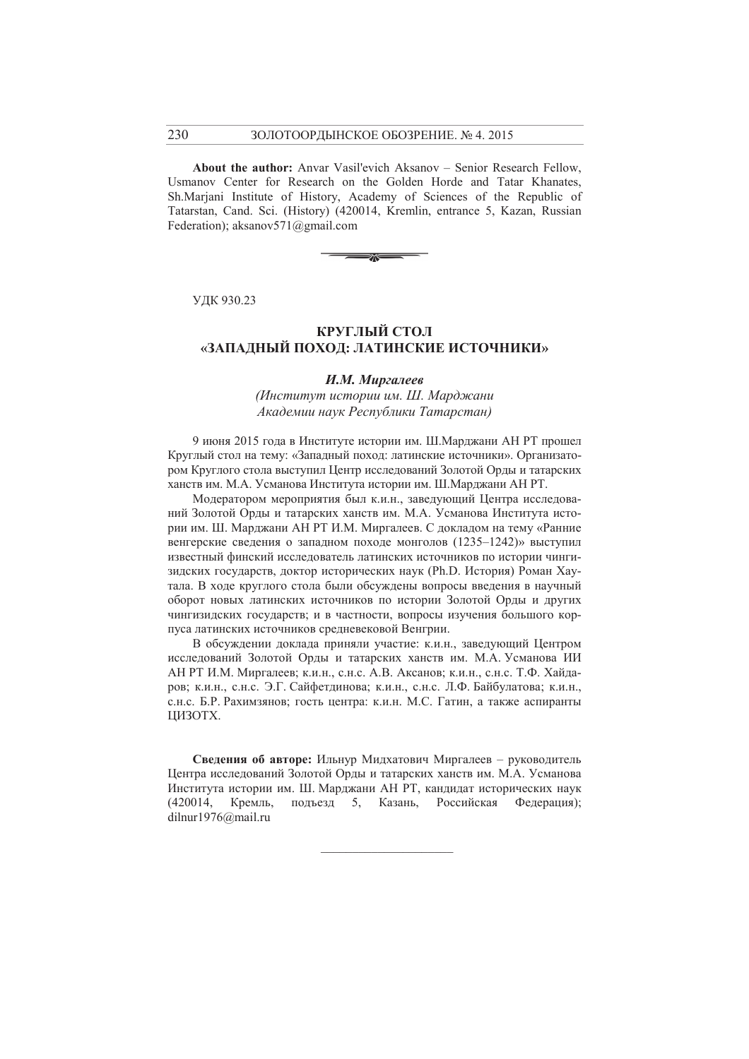About the author: Anvar Vasil'evich Aksanov – Senior Research Fellow, Usmanov Center for Research on the Golden Horde and Tatar Khanates. Sh.Marjani Institute of History, Academy of Sciences of the Republic of Tatarstan, Cand. Sci. (History) (420014, Kremlin, entrance 5, Kazan, Russian Federation); aksanov $571$ @gmail.com



УДК 930.23

## КРУГЛЫЙ СТОЛ «ЗАПАДНЫЙ ПОХОД: ЛАТИНСКИЕ ИСТОЧНИКИ»

### И.М. Миргалеев

(Институт истории им. Ш. Марджани Академии наук Республики Татарстан)

9 июня 2015 года в Институте истории им. Ш. Марджани АН РТ прошел Круглый стол на тему: «Западный поход: латинские источники». Организатором Круглого стола выступил Центр исследований Золотой Орды и татарских ханств им. М.А. Усманова Института истории им. Ш. Марджани АН РТ.

Модератором мероприятия был к.и.н., заведующий Центра исследований Золотой Орды и татарских ханств им. М.А. Усманова Института истории им. Ш. Марджани АН РТ И.М. Миргалеев. С докладом на тему «Ранние венгерские сведения о западном походе монголов (1235-1242)» выступил известный финский исследователь латинских источников по истории чингизидских государств, доктор исторических наук (Ph.D. История) Роман Хаутала. В ходе круглого стола были обсуждены вопросы введения в научный оборот новых латинских источников по истории Золотой Орлы и лругих чингизидских государств; и в частности, вопросы изучения большого корпуса латинских источников средневековой Венгрии.

В обсуждении доклада приняли участие: к.и.н., заведующий Центром исследований Золотой Орды и татарских ханств им. М.А. Усманова ИИ АН РТ И.М. Миргалеев; к.и.н., с.н.с. А.В. Аксанов; к.и.н., с.н.с. Т.Ф. Хайдаров; к.и.н., с.н.с. Э.Г. Сайфетдинова; к.и.н., с.н.с. Л.Ф. Байбулатова; к.и.н., с.н.с. Б.Р. Рахимзянов; гость центра: к.и.н. М.С. Гатин, а также аспиранты ШИЗОТХ.

Свеления об авторе: Ильнур Милхатович Миргалеев - руководитель Центра исследований Золотой Орды и татарских ханств им. М.А. Усманова Института истории им. Ш. Марджани АН РТ, кандидат исторических наук (420014, Кремль, подъезд 5, Казань, Российская Федерация); dilnur1976@mail.ru

230